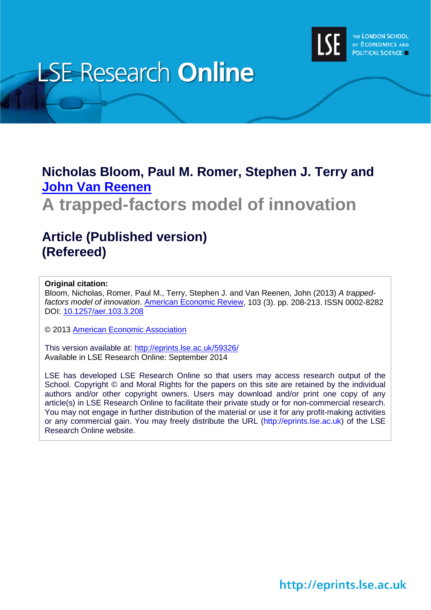

# **LSE Research Online**

# **Nicholas Bloom, Paul M. Romer, Stephen J. Terry and [John Van Reenen](http://www.lse.ac.uk/researchAndExpertise/Experts/profile.aspx?KeyValue=j.vanreenen@lse.ac.uk)**

**A trapped-factors model of innovation**

# **Article (Published version) (Refereed)**

### **Original citation:**

Bloom, Nicholas, Romer, Paul M., Terry, Stephen J. and Van Reenen, John (2013) *A trappedfactors model of innovation*. [American Economic Review,](https://www.aeaweb.org/aer/papers.php) 103 (3). pp. 208-213. ISSN 0002-8282 DOI: [10.1257/aer.103.3.208](http://dx.doi.org/10.1257/aer.103.3.208)

© 2013 [American Economic Association](https://www.aeaweb.org/)

This version available at:<http://eprints.lse.ac.uk/59326/> Available in LSE Research Online: September 2014

LSE has developed LSE Research Online so that users may access research output of the School. Copyright © and Moral Rights for the papers on this site are retained by the individual authors and/or other copyright owners. Users may download and/or print one copy of any article(s) in LSE Research Online to facilitate their private study or for non-commercial research. You may not engage in further distribution of the material or use it for any profit-making activities or any commercial gain. You may freely distribute the URL (http://eprints.lse.ac.uk) of the LSE Research Online website.

http://eprints.lse.ac.uk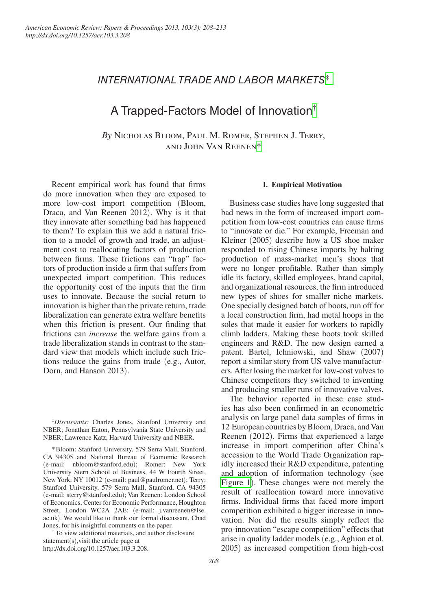## *International Trade and Labor Markets*  ‡

## A Trapped-Factors Model of Innovation[†](#page-1-0)

*By* Nicholas Bloom, Paul M. Romer, Stephen J. Terry, and John Van Reenen[\\*](#page-1-1)

Recent empirical work has found that firms do more innovation when they are exposed to more low-cost import competition (Bloom, Draca, and Van Reenen 2012). Why is it that they innovate after something bad has happened to them? To explain this we add a natural friction to a model of growth and trade, an adjustment cost to reallocating factors of production between firms. These frictions can "trap" factors of production inside a firm that suffers from unexpected import competition. This reduces the opportunity cost of the inputs that the firm uses to innovate. Because the social return to innovation is higher than the private return, trade liberalization can generate extra welfare benefits when this friction is present. Our finding that frictions can *increase* the welfare gains from a trade liberalization stands in contrast to the standard view that models which include such frictions reduce the gains from trade (e.g., Autor, Dorn, and Hanson 2013).

<span id="page-1-0"></span>To view additional materials, and author disclosure statement(s),visit the article page at [http://dx.doi.org/10.1257/aer.103.3.208.](http://dx.doi.org/10.1257/aer.103.3.208)

#### **I. Empirical Motivation**

Business case studies have long suggested that bad news in the form of increased import competition from low-cost countries can cause firms to "innovate or die." For example, Freeman and Kleiner (2005) describe how a US shoe maker responded to rising Chinese imports by halting production of mass-market men's shoes that were no longer profitable. Rather than simply idle its factory, skilled employees, brand capital, and organizational resources, the firm introduced new types of shoes for smaller niche markets. One specially designed batch of boots, run off for a local construction firm, had metal hoops in the soles that made it easier for workers to rapidly climb ladders. Making these boots took skilled engineers and R&D. The new design earned a patent. Bartel, Ichniowski, and Shaw (2007) report a similar story from US valve manufacturers. After losing the market for low-cost valves to Chinese competitors they switched to inventing and producing smaller runs of innovative valves.

The behavior reported in these case studies has also been confirmed in an econometric analysis on large panel data samples of firms in 12 European countries by Bloom, Draca, and Van Reenen (2012). Firms that experienced a large increase in import competition after China's accession to the World Trade Organization rapidly increased their R&D expenditure, patenting and adoption of information technology (see [Figure 1](#page-2-0)). These changes were not merely the result of reallocation toward more innovative firms. Individual firms that faced more import competition exhibited a bigger increase in innovation. Nor did the results simply reflect the pro-innovation "escape competition" effects that arise in quality ladder models (e.g., Aghion et al. 2005) as increased competition from high-cost

<sup>‡</sup> *Discussants:* Charles Jones, Stanford University and NBER; Jonathan Eaton, Pennsylvania State University and NBER; Lawrence Katz, Harvard University and NBER.

<span id="page-1-1"></span><sup>\*</sup>Bloom: Stanford University, 579 Serra Mall, Stanford, CA 94305 and National Bureau of Economic Research (e-mail: [nbloom@stanford.edu](mailto:nbloom@stanford.edu)); Romer: New York University Stern School of Business, 44 W Fourth Street, New York, NY 10012 (e-mail: [paul@paulromer.net](mailto:paul@paulromer.net)); Terry: Stanford University, 579 Serra Mall, Stanford, CA 94305 (e-mail: [sterry@stanford.edu](mailto:sterry@stanford.edu)); Van Reenen: London School of Economics, Center for Economic Performance, Houghton Street, London WC2A 2AE; (e-mail: [j.vanreenen@lse.](mailto:j.vanreenen@lse.ac.uk) [ac.uk](mailto:j.vanreenen@lse.ac.uk)). We would like to thank our formal discussant, Chad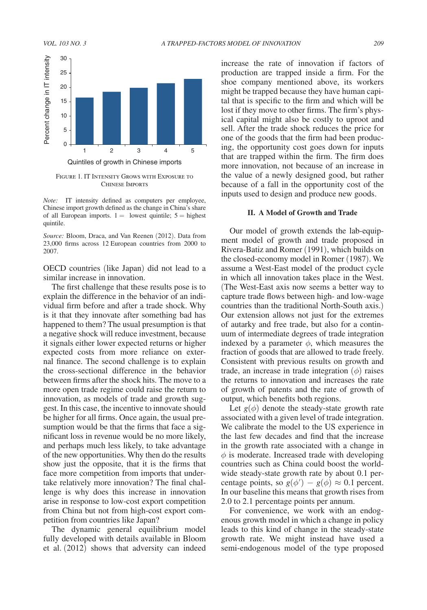<span id="page-2-0"></span>

Figure 1. IT Intensity Grows with Exposure to Chinese Imports

*Note:* IT intensity defined as computers per employee, Chinese import growth defined as the change in China's share of all European imports.  $1 =$  lowest quintile;  $5 =$  highest quintile.

*Source:* Bloom, Draca, and Van Reenen (2012). Data from 23,000 firms across 12 European countries from 2000 to 2007.

OECD countries (like Japan) did not lead to a similar increase in innovation.

The first challenge that these results pose is to explain the difference in the behavior of an individual firm before and after a trade shock. Why is it that they innovate after something bad has happened to them? The usual presumption is that a negative shock will reduce investment, because it signals either lower expected returns or higher expected costs from more reliance on external finance. The second challenge is to explain the cross-sectional difference in the behavior between firms after the shock hits. The move to a more open trade regime could raise the return to innovation, as models of trade and growth suggest. In this case, the incentive to innovate should be higher for all firms. Once again, the usual presumption would be that the firms that face a significant loss in revenue would be no more likely, and perhaps much less likely, to take advantage of the new opportunities. Why then do the results show just the opposite, that it is the firms that face more competition from imports that undertake relatively more innovation? The final challenge is why does this increase in innovation arise in response to low-cost export competition from China but not from high-cost export competition from countries like Japan?

The dynamic general equilibrium model fully developed with details available in Bloom et al. (2012) shows that adversity can indeed increase the rate of innovation if factors of production are trapped inside a firm. For the shoe company mentioned above, its workers might be trapped because they have human capital that is specific to the firm and which will be lost if they move to other firms. The firm's physical capital might also be costly to uproot and sell. After the trade shock reduces the price for one of the goods that the firm had been producing, the opportunity cost goes down for inputs that are trapped within the firm. The firm does more innovation, not because of an increase in the value of a newly designed good, but rather because of a fall in the opportunity cost of the inputs used to design and produce new goods.

#### **II. A Model of Growth and Trade**

Our model of growth extends the lab-equipment model of growth and trade proposed in Rivera-Batiz and Romer (1991), which builds on the closed-economy model in Romer (1987). We assume a West-East model of the product cycle in which all innovation takes place in the West. (The West-East axis now seems a better way to capture trade flows between high- and low-wage countries than the traditional North-South axis.) Our extension allows not just for the extremes of autarky and free trade, but also for a continuum of intermediate degrees of trade integration indexed by a parameter  $\phi$ , which measures the fraction of goods that are allowed to trade freely. Consistent with previous results on growth and trade, an increase in trade integration  $(\phi)$  raises the returns to innovation and increases the rate of growth of patents and the rate of growth of output, which benefits both regions.

Let  $g(\phi)$  denote the steady-state growth rate associated with a given level of trade integration. We calibrate the model to the US experience in the last few decades and find that the increase in the growth rate associated with a change in  $\phi$  is moderate. Increased trade with developing countries such as China could boost the worldwide steady-state growth rate by about 0.1 percentage points, so  $g(\phi') - g(\phi) \approx 0.1$  percent. In our baseline this means that growth rises from 2.0 to 2.1 percentage points per annum.

For convenience, we work with an endogenous growth model in which a change in policy leads to this kind of change in the steady-state growth rate. We might instead have used a semi-endogenous model of the type proposed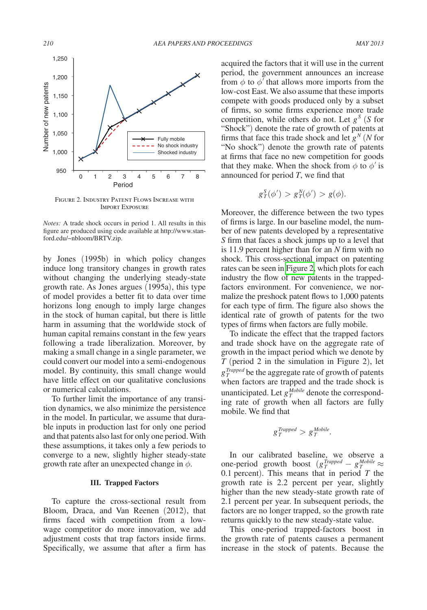

Figure 2. Industry Patent Flows Increase with Import Exposure

*Notes:* A trade shock occurs in period 1. All results in this figure are produced using code available at [http://www.stan](http://www.stanford.edu/~nbloom/BRTV.zip)[ford.edu/~nbloom/BRTV.zip.](http://www.stanford.edu/~nbloom/BRTV.zip)

by Jones (1995b) in which policy changes induce long transitory changes in growth rates without changing the underlying steady-state growth rate. As Jones argues (1995a), this type of model provides a better fit to data over time horizons long enough to imply large changes in the stock of human capital, but there is little harm in assuming that the worldwide stock of human capital remains constant in the few years following a trade liberalization. Moreover, by making a small change in a single parameter, we could convert our model into a semi-endogenous model. By continuity, this small change would have little effect on our qualitative conclusions or numerical calculations.

To further limit the importance of any transition dynamics, we also minimize the persistence in the model. In particular, we assume that durable inputs in production last for only one period and that patents also last for only one period. With these assumptions, it takes only a few periods to converge to a new, slightly higher steady-state growth rate after an unexpected change in  $\phi$ .

#### **III. Trapped Factors**

To capture the cross-sectional result from Bloom, Draca, and Van Reenen (2012), that firms faced with competition from a lowwage competitor do more innovation, we add adjustment costs that trap factors inside firms. Specifically, we assume that after a firm has acquired the factors that it will use in the current period, the government announces an increase from  $\phi$  to  $\phi'$  that allows more imports from the low-cost East. We also assume that these imports compete with goods produced only by a subset of firms, so some firms experience more trade competition, while others do not. Let  $g^S$  (*S* for "Shock") denote the rate of growth of patents at firms that face this trade shock and let  $g^N$  (*N* for "No shock") denote the growth rate of patents at firms that face no new competition for goods that they make. When the shock from  $\phi$  to  $\phi'$  is announced for period *T*, we find that

$$
g_T^S(\phi') > g_T^N(\phi') > g(\phi).
$$

Moreover, the difference between the two types of firms is large. In our baseline model, the number of new patents developed by a representative *S* firm that faces a shock jumps up to a level that is 11.9 percent higher than for an *N* firm with no shock. This cross-sectional impact on patenting rates can be seen in Figure 2, which plots for each industry the flow of new patents in the trappedfactors environment. For convenience, we normalize the preshock patent flows to 1,000 patents for each type of firm. The figure also shows the identical rate of growth of patents for the two types of firms when factors are fully mobile.

To indicate the effect that the trapped factors and trade shock have on the aggregate rate of growth in the impact period which we denote by *T* (period 2 in the simulation in Figure 2), let *gT Trapped* be the aggregate rate of growth of patents when factors are trapped and the trade shock is unanticipated. Let  $g_T^{Mobile}$  denote the corresponding rate of growth when all factors are fully mobile. We find that

$$
g_{T}^{Trapped} > g_{T}^{Mobile}.
$$

In our calibrated baseline, we observe a one-period growth boost  $(g_T^{Trapped} - g_T^{Mobile} \approx$ 0.1 percent). This means that in period *T* the growth rate is 2.2 percent per year, slightly higher than the new steady-state growth rate of 2.1 percent per year. In subsequent periods, the factors are no longer trapped, so the growth rate returns quickly to the new steady-state value.

This one-period trapped-factors boost in the growth rate of patents causes a permanent increase in the stock of patents. Because the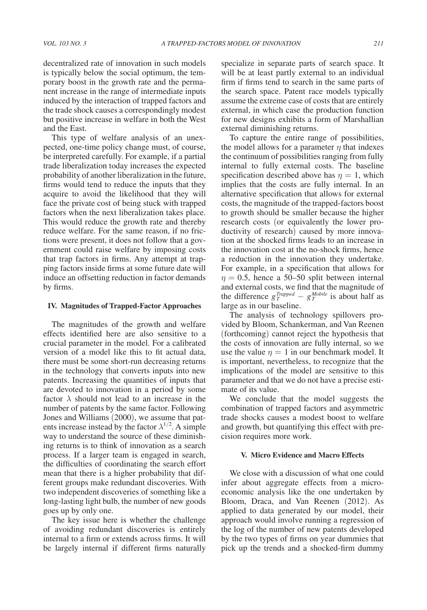decentralized rate of innovation in such models is typically below the social optimum, the temporary boost in the growth rate and the permanent increase in the range of intermediate inputs induced by the interaction of trapped factors and the trade shock causes a correspondingly modest but positive increase in welfare in both the West and the East.

This type of welfare analysis of an unexpected, one-time policy change must, of course, be interpreted carefully. For example, if a partial trade liberalization today increases the expected probability of another liberalization in the future, firms would tend to reduce the inputs that they acquire to avoid the likelihood that they will face the private cost of being stuck with trapped factors when the next liberalization takes place. This would reduce the growth rate and thereby reduce welfare. For the same reason, if no frictions were present, it does not follow that a government could raise welfare by imposing costs that trap factors in firms. Any attempt at trapping factors inside firms at some future date will induce an offsetting reduction in factor demands by firms.

#### **IV. Magnitudes of Trapped-Factor Approaches**

The magnitudes of the growth and welfare effects identified here are also sensitive to a crucial parameter in the model. For a calibrated version of a model like this to fit actual data, there must be some short-run decreasing returns in the technology that converts inputs into new patents. Increasing the quantities of inputs that are devoted to innovation in a period by some factor  $\lambda$  should not lead to an increase in the number of patents by the same factor. Following Jones and Williams (2000), we assume that patents increase instead by the factor  $\lambda^{1/2}$ . A simple way to understand the source of these diminishing returns is to think of innovation as a search process. If a larger team is engaged in search, the difficulties of coordinating the search effort mean that there is a higher probability that different groups make redundant discoveries. With two independent discoveries of something like a long-lasting light bulb, the number of new goods goes up by only one.

The key issue here is whether the challenge of avoiding redundant discoveries is entirely internal to a firm or extends across firms. It will be largely internal if different firms naturally specialize in separate parts of search space. It will be at least partly external to an individual firm if firms tend to search in the same parts of the search space. Patent race models typically assume the extreme case of costs that are entirely external, in which case the production function for new designs exhibits a form of Marshallian external diminishing returns.

To capture the entire range of possibilities, the model allows for a parameter  $\eta$  that indexes the continuum of possibilities ranging from fully internal to fully external costs. The baseline specification described above has  $\eta = 1$ , which implies that the costs are fully internal. In an alternative specification that allows for external costs, the magnitude of the trapped-factors boost to growth should be smaller because the higher research costs (or equivalently the lower productivity of research) caused by more innovation at the shocked firms leads to an increase in the innovation cost at the no-shock firms, hence a reduction in the innovation they undertake. For example, in a specification that allows for  $\eta = 0.5$ , hence a 50–50 split between internal and external costs, we find that the magnitude of the difference  $g_T^{Trapped} - g_T^{Mobile}$  is about half as large as in our baseline.

The analysis of technology spillovers provided by Bloom, Schankerman, and Van Reenen (forthcoming) cannot reject the hypothesis that the costs of innovation are fully internal, so we use the value  $\eta = 1$  in our benchmark model. It is important, nevertheless, to recognize that the implications of the model are sensitive to this parameter and that we do not have a precise estimate of its value.

We conclude that the model suggests the combination of trapped factors and asymmetric trade shocks causes a modest boost to welfare and growth, but quantifying this effect with precision requires more work.

#### **V. Micro Evidence and Macro Effects**

We close with a discussion of what one could infer about aggregate effects from a microeconomic analysis like the one undertaken by Bloom, Draca, and Van Reenen (2012). As applied to data generated by our model, their approach would involve running a regression of the log of the number of new patents developed by the two types of firms on year dummies that pick up the trends and a shocked-firm dummy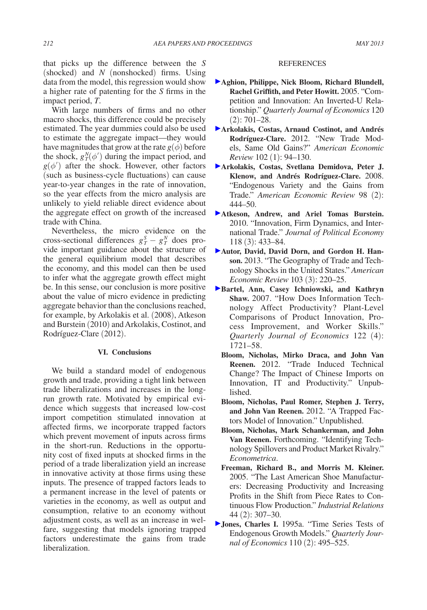that picks up the difference between the *S* (shocked) and *N* (nonshocked) firms. Using data from the model, this regression would show a higher rate of patenting for the *S* firms in the impact period, *T*.

With large numbers of firms and no other macro shocks, this difference could be precisely estimated. The year dummies could also be used to estimate the aggregate impact—they would have magnitudes that grow at the rate  $g(\phi)$  before the shock,  $g_T^N(\phi)$  during the impact period, and  $g(\phi')$  after the shock. However, other factors (such as business-cycle fluctuations) can cause year-to-year changes in the rate of innovation, so the year effects from the micro analysis are unlikely to yield reliable direct evidence about the aggregate effect on growth of the increased trade with China.

Nevertheless, the micro evidence on the cross-sectional differences  $g_T^S - g_T^N$  does provide important guidance about the structure of the general equilibrium model that describes the economy, and this model can then be used to infer what the aggregate growth effect might be. In this sense, our conclusion is more positive about the value of micro evidence in predicting aggregate behavior than the conclusions reached, for example, by Arkolakis et al. (2008), Atkeson and Burstein (2010) and Arkolakis, Costinot, and Rodríguez-Clare (2012).

#### **VI. Conclusions**

We build a standard model of endogenous growth and trade, providing a tight link between trade liberalizations and increases in the longrun growth rate. Motivated by empirical evidence which suggests that increased low-cost import competition stimulated innovation at affected firms, we incorporate trapped factors which prevent movement of inputs across firms in the short-run. Reductions in the opportunity cost of fixed inputs at shocked firms in the period of a trade liberalization yield an increase in innovative activity at those firms using these inputs. The presence of trapped factors leads to a permanent increase in the level of patents or varieties in the economy, as well as output and consumption, relative to an economy without adjustment costs, as well as an increase in welfare, suggesting that models ignoring trapped factors underestimate the gains from trade liberalization.

#### REFERENCES

- **Aghion, Philippe, Nick Bloom, Richard Blundell, Rachel Griffith, and Peter Howitt.** 2005. "Competition and Innovation: An Inverted-U Relationship." *Quarterly Journal of Economics* 120 (2): 701–28.
- **Arkolakis, Costas, Arnaud Costinot, and Andrés Rodríguez-Clare.** 2012. "New Trade Models, Same Old Gains?" *American Economic Review* 102 (1): 94–130.
- **Arkolakis, Costas, Svetlana Demidova, Peter J. Klenow, and Andrés Rodríguez-Clare.** 2008. "Endogenous Variety and the Gains from Trade." *American Economic Review* 98 (2): 444–50.
- **Atkeson, Andrew, and Ariel Tomas Burstein.**  2010. "Innovation, Firm Dynamics, and International Trade." *Journal of Political Economy*  118 (3): 433–84.
- **Autor, David, David Dorn, and Gordon H. Hanson.** 2013. "The Geography of Trade and Technology Shocks in the United States." *American Economic Review* 103 (3): 220–25.
- **Bartel, Ann, Casey Ichniowski, and Kathryn Shaw.** 2007. "How Does Information Technology Affect Productivity? Plant-Level Comparisons of Product Innovation, Process Improvement, and Worker Skills." *Quarterly Journal of Economics* 122 (4): 1721–58.
	- **Bloom, Nicholas, Mirko Draca, and John Van Reenen.** 2012. "Trade Induced Technical Change? The Impact of Chinese Imports on Innovation, IT and Productivity." Unpublished.
	- **Bloom, Nicholas, Paul Romer, Stephen J. Terry, and John Van Reenen.** 2012. "A Trapped Factors Model of Innovation." Unpublished.
	- **Bloom, Nicholas, Mark Schankerman, and John Van Reenen.** Forthcoming. "Identifying Technology Spillovers and Product Market Rivalry." *Econometrica*.
	- **Freeman, Richard B., and Morris M. Kleiner.**  2005. "The Last American Shoe Manufacturers: Decreasing Productivity and Increasing Profits in the Shift from Piece Rates to Continuous Flow Production." *Industrial Relations*  44 (2): 307–30.
- **Jones, Charles I.** 1995a. "Time Series Tests of Endogenous Growth Models." *Quarterly Journal of Economics* 110 (2): 495–525.